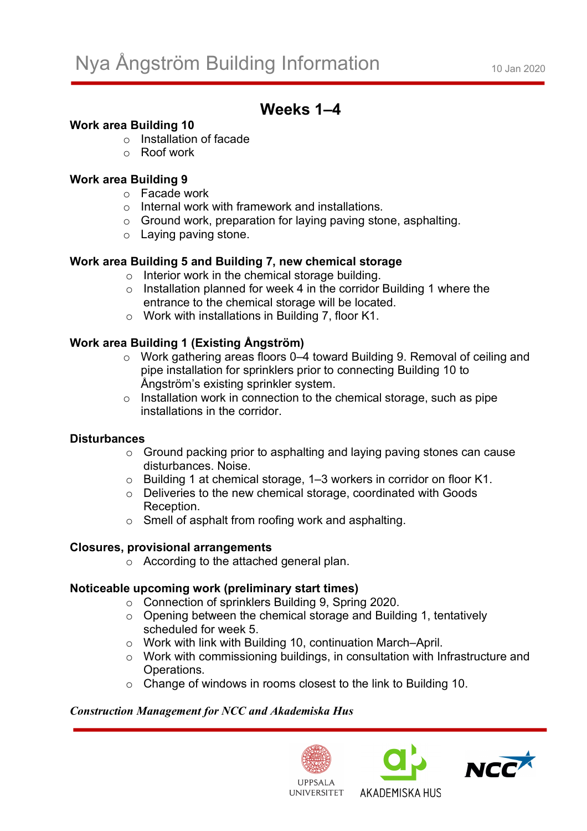# **Weeks 1–4**

## **Work area Building 10**

- o Installation of facade
- o Roof work

## **Work area Building 9**

- o Facade work
- o Internal work with framework and installations.
- o Ground work, preparation for laying paving stone, asphalting.
- o Laying paving stone.

## **Work area Building 5 and Building 7, new chemical storage**

- o Interior work in the chemical storage building.
- o Installation planned for week 4 in the corridor Building 1 where the entrance to the chemical storage will be located.
- o Work with installations in Building 7, floor K1.

## **Work area Building 1 (Existing Ångström)**

- o Work gathering areas floors 0–4 toward Building 9. Removal of ceiling and pipe installation for sprinklers prior to connecting Building 10 to Ångström's existing sprinkler system.
- $\circ$  Installation work in connection to the chemical storage, such as pipe installations in the corridor.

#### **Disturbances**

- o Ground packing prior to asphalting and laying paving stones can cause disturbances. Noise.
- o Building 1 at chemical storage, 1–3 workers in corridor on floor K1.
- o Deliveries to the new chemical storage, coordinated with Goods Reception.
- o Smell of asphalt from roofing work and asphalting.

#### **Closures, provisional arrangements**

o According to the attached general plan.

#### **Noticeable upcoming work (preliminary start times)**

- o Connection of sprinklers Building 9, Spring 2020.
- o Opening between the chemical storage and Building 1, tentatively scheduled for week 5.
- o Work with link with Building 10, continuation March–April.
- o Work with commissioning buildings, in consultation with Infrastructure and Operations.
- o Change of windows in rooms closest to the link to Building 10.

#### *Construction Management for NCC and Akademiska Hus*





AKADEMISKA HUS